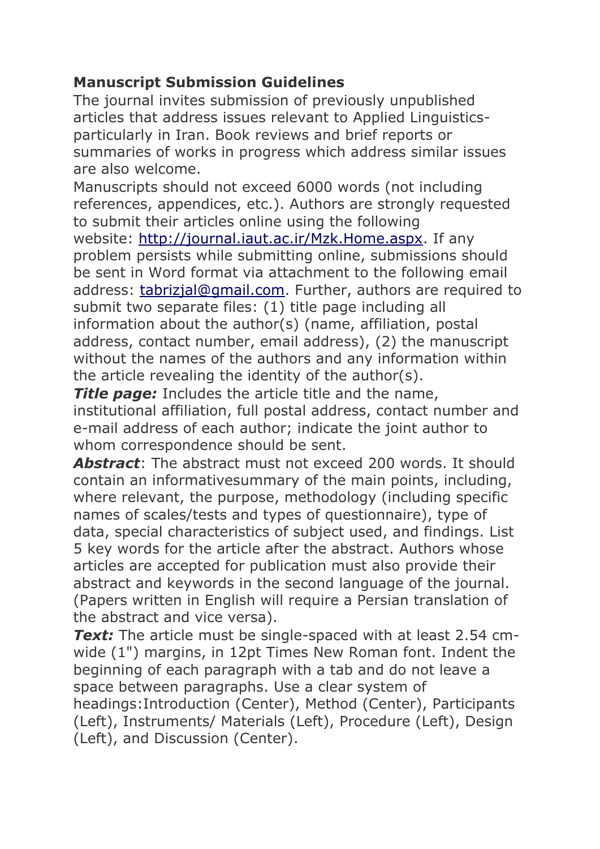## **Manuscript Submission Guidelines**

The journal invites submission of previously unpublished articles that address issues relevant to Applied Linguisticsparticularly in Iran. Book reviews and brief reports or summaries of works in progress which address similar issues are also welcome.

Manuscripts should not exceed 6000 words (not including references, appendices, etc.). Authors are strongly requested to submit their articles online using the following website: [http://journal.iaut.ac.ir/Mzk.Home.aspx.](http://journal.iaut.ac.ir/Mzk.Home.aspx) If any problem persists while submitting online, submissions should be sent in Word format via attachment to the following email address: [tabrizjal@gmail.com.](mailto:tabrizjal@gmail.com) Further, authors are required to submit two separate files: (1) title page including all information about the author(s) (name, affiliation, postal address, contact number, email address), (2) the manuscript without the names of the authors and any information within the article revealing the identity of the author(s).

**Title page:** Includes the article title and the name, institutional affiliation, full postal address, contact number and e-mail address of each author; indicate the joint author to whom correspondence should be sent.

*Abstract*: The abstract must not exceed 200 words. It should contain an informativesummary of the main points, including, where relevant, the purpose, methodology (including specific names of scales/tests and types of questionnaire), type of data, special characteristics of subject used, and findings. List 5 key words for the article after the abstract. Authors whose articles are accepted for publication must also provide their abstract and keywords in the second language of the journal. (Papers written in English will require a Persian translation of the abstract and vice versa).

*Text:* The article must be single-spaced with at least 2.54 cmwide (1") margins, in 12pt Times New Roman font. Indent the beginning of each paragraph with a tab and do not leave a space between paragraphs. Use a clear system of

headings:Introduction (Center), Method (Center), Participants (Left), Instruments/ Materials (Left), Procedure (Left), Design (Left), and Discussion (Center).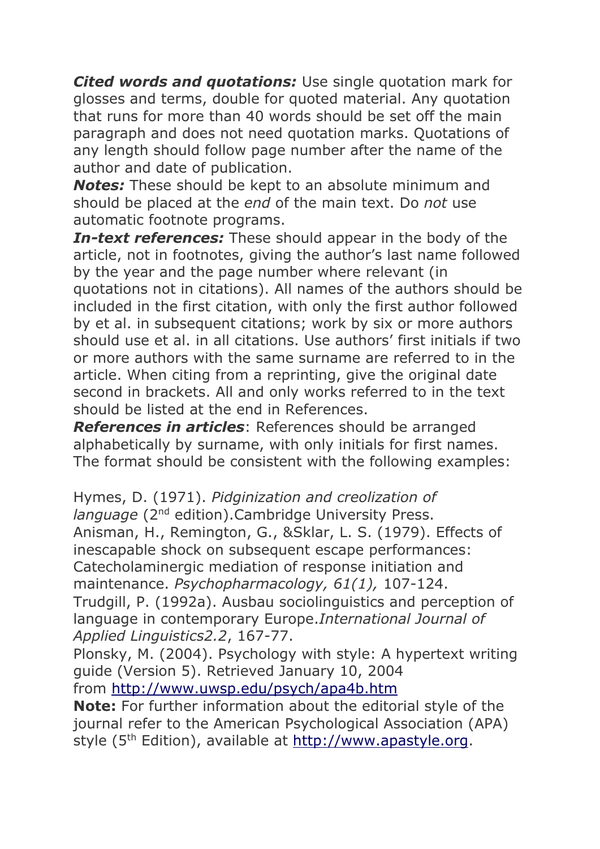*Cited words and quotations:* Use single quotation mark for glosses and terms, double for quoted material. Any quotation that runs for more than 40 words should be set off the main paragraph and does not need quotation marks. Quotations of any length should follow page number after the name of the author and date of publication.

*Notes:* These should be kept to an absolute minimum and should be placed at the *end* of the main text. Do *not* use automatic footnote programs.

*In-text references:* These should appear in the body of the article, not in footnotes, giving the author's last name followed by the year and the page number where relevant (in quotations not in citations). All names of the authors should be included in the first citation, with only the first author followed by et al. in subsequent citations; work by six or more authors should use et al. in all citations. Use authors' first initials if two or more authors with the same surname are referred to in the article. When citing from a reprinting, give the original date second in brackets. All and only works referred to in the text should be listed at the end in References.

*References in articles*: References should be arranged alphabetically by surname, with only initials for first names. The format should be consistent with the following examples:

Hymes, D. (1971). *Pidginization and creolization of language* (2<sup>nd</sup> edition).Cambridge University Press. Anisman, H., Remington, G., &Sklar, L. S. (1979). Effects of inescapable shock on subsequent escape performances: Catecholaminergic mediation of response initiation and maintenance. *Psychopharmacology, 61(1),* 107-124. Trudgill, P. (1992a). Ausbau sociolinguistics and perception of

language in contemporary Europe.*International Journal of Applied Linguistics2.2*, 167-77.

Plonsky, M. (2004). Psychology with style: A hypertext writing guide (Version 5). Retrieved January 10, 2004 from <http://www.uwsp.edu/psych/apa4b.htm>

**Note:** For further information about the editorial style of the journal refer to the American Psychological Association (APA) style (5<sup>th</sup> Edition), available at [http://www.apastyle.org.](http://www.apastyle.org/)